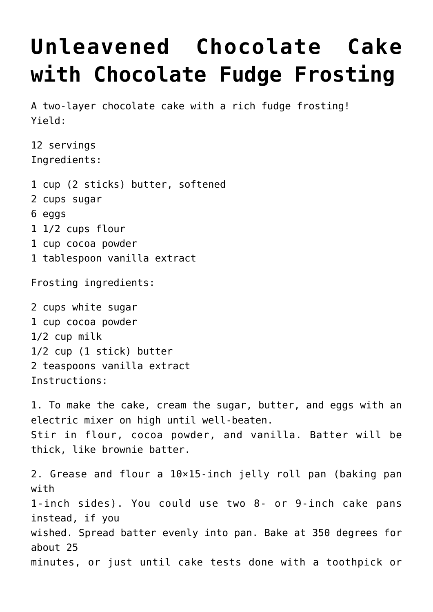## **[Unleavened Chocolate Cake](https://lincon.com/site/unleavened-chocolate-cake-with-chocolate-fudge-frosting/) [with Chocolate Fudge Frosting](https://lincon.com/site/unleavened-chocolate-cake-with-chocolate-fudge-frosting/)**

A two-layer chocolate cake with a rich fudge frosting! Yield:

12 servings Ingredients:

- 1 cup (2 sticks) butter, softened
- 2 cups sugar
- 6 eggs
- 1 1/2 cups flour
- 1 cup cocoa powder
- 1 tablespoon vanilla extract

Frosting ingredients:

2 cups white sugar 1 cup cocoa powder 1/2 cup milk 1/2 cup (1 stick) butter 2 teaspoons vanilla extract Instructions:

1. To make the cake, cream the sugar, butter, and eggs with an electric mixer on high until well-beaten. Stir in flour, cocoa powder, and vanilla. Batter will be thick, like brownie batter.

2. Grease and flour a 10×15-inch jelly roll pan (baking pan with 1-inch sides). You could use two 8- or 9-inch cake pans instead, if you wished. Spread batter evenly into pan. Bake at 350 degrees for about 25 minutes, or just until cake tests done with a toothpick or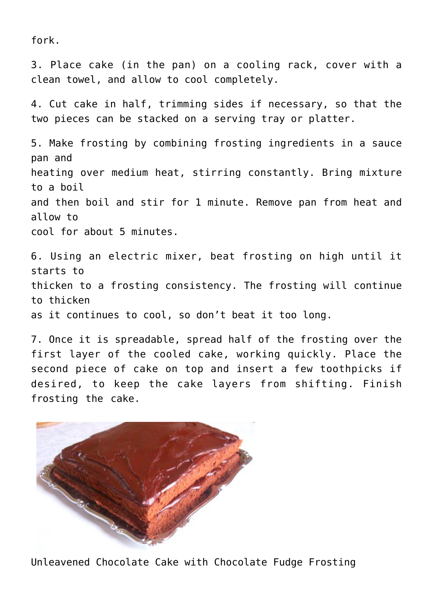fork.

3. Place cake (in the pan) on a cooling rack, cover with a clean towel, and allow to cool completely.

4. Cut cake in half, trimming sides if necessary, so that the two pieces can be stacked on a serving tray or platter.

5. Make frosting by combining frosting ingredients in a sauce pan and heating over medium heat, stirring constantly. Bring mixture to a boil and then boil and stir for 1 minute. Remove pan from heat and allow to cool for about 5 minutes.

6. Using an electric mixer, beat frosting on high until it starts to thicken to a frosting consistency. The frosting will continue to thicken as it continues to cool, so don't beat it too long.

7. Once it is spreadable, spread half of the frosting over the first layer of the cooled cake, working quickly. Place the second piece of cake on top and insert a few toothpicks if desired, to keep the cake layers from shifting. Finish frosting the cake.



Unleavened Chocolate Cake with Chocolate Fudge Frosting